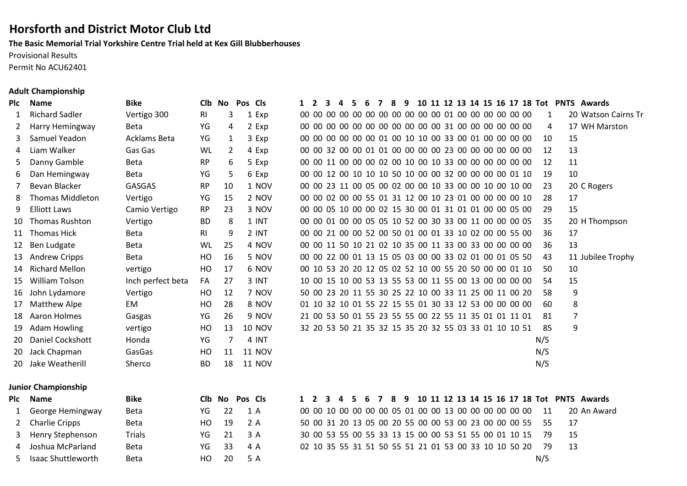# **Horsforth and District Motor Club Ltd**

**The Basic Memorial Trial Yorkshire Centre Trial held at Kex Gill Blubberhouses**

Provisional Results

Permit No ACU62401

## **Adult Championship**

| Plc | <b>Name</b>                    | <b>Bike</b>       | <b>CIb</b>     | No             | Pos | <b>Cls</b>         | $1\quad 2$ | 3 | 4 | -5  | 6  | $\overline{7}$ | 8 | 9 |  |  |  |                                                          |              |                | 10 11 12 13 14 15 16 17 18 Tot PNTS Awards |
|-----|--------------------------------|-------------------|----------------|----------------|-----|--------------------|------------|---|---|-----|----|----------------|---|---|--|--|--|----------------------------------------------------------|--------------|----------------|--------------------------------------------|
| 1   | <b>Richard Sadler</b>          | Vertigo 300       | <b>RI</b>      | 3              |     | 1 Exp              |            |   |   |     |    |                |   |   |  |  |  |                                                          | 1            |                | 20 Watson                                  |
| 2   | Harry Hemingway                | Beta              | YG             | 4              |     | 2 Exp              |            |   |   |     |    |                |   |   |  |  |  | 00 00 00 00 00 00 00 00 00 00 00 00 31 00 00 00 00 00 00 | 4            |                | 17 WH Ma                                   |
| 3   | Samuel Yeadon                  | Acklams Beta      | YG             | 1              |     | 3 Exp              |            |   |   |     |    |                |   |   |  |  |  | 00 00 00 00 00 00 01 00 10 10 00 33 00 01 00 00 00 00    | 10           | 15             |                                            |
| 4   | Liam Walker                    | Gas Gas           | WL             | 2              |     | 4 Exp              |            |   |   |     |    |                |   |   |  |  |  | 00 00 32 00 00 01 01 00 00 00 00 23 00 00 00 00 00 00    | 12           | 13             |                                            |
| 5   | Danny Gamble                   | <b>Beta</b>       | <b>RP</b>      | 6              |     | 5 Exp              |            |   |   |     |    |                |   |   |  |  |  | 00 00 11 00 00 00 02 00 10 00 10 33 00 00 00 00 00 00    | 12           | 11             |                                            |
| 6   | Dan Hemingway                  | Beta              | YG             | 5              |     | 6 Exp              |            |   |   |     |    |                |   |   |  |  |  | 00 00 12 00 10 10 10 50 10 00 00 32 00 00 00 00 01 10    | 19           | 10             |                                            |
| 7   | Bevan Blacker                  | <b>GASGAS</b>     | <b>RP</b>      | 10             |     | 1 NOV              |            |   |   |     |    |                |   |   |  |  |  | 00 00 23 11 00 05 00 02 00 00 10 33 00 00 10 00 10 00    | 23           |                | 20 C Roger                                 |
| 8   | <b>Thomas Middleton</b>        | Vertigo           | YG             | 15             |     | 2 NOV              |            |   |   |     |    |                |   |   |  |  |  | 00 00 02 00 00 55 01 31 12 00 10 23 01 00 00 00 00 10    | 28           | 17             |                                            |
| 9   | <b>Elliott Laws</b>            | Camio Vertigo     | <b>RP</b>      | 23             |     | 3 NOV              |            |   |   |     |    |                |   |   |  |  |  | 00 00 05 10 00 00 02 15 30 00 01 31 01 01 00 00 05 00    | 29           | 15             |                                            |
| 10  | Thomas Rushton                 | Vertigo           | <b>BD</b>      | 8              |     | 1 INT              |            |   |   |     |    |                |   |   |  |  |  | 00 00 01 00 00 05 05 10 52 00 30 33 00 11 00 00 00 05    | 35           |                | 20 H Thom                                  |
| 11  | <b>Thomas Hick</b>             | <b>Beta</b>       | R <sub>l</sub> | 9              |     | 2 INT              |            |   |   |     |    |                |   |   |  |  |  | 00 00 21 00 00 52 00 50 01 00 01 33 10 02 00 00 55 00    | 36           | 17             |                                            |
| 12  | Ben Ludgate                    | <b>Beta</b>       | WL             | 25             |     | 4 NOV              |            |   |   |     |    |                |   |   |  |  |  | 00 00 11 50 10 21 02 10 35 00 11 33 00 33 00 00 00 00    | 36           | 13             |                                            |
| 13  | <b>Andrew Cripps</b>           | <b>Beta</b>       | HO             | 16             |     | 5 NOV              |            |   |   |     |    |                |   |   |  |  |  | 00 00 22 00 01 13 15 05 03 00 00 33 02 01 00 01 05 50    | 43           |                | 11 Jubilee                                 |
| 14  | <b>Richard Mellon</b>          | vertigo           | HO             | 17             |     | 6 NOV              |            |   |   |     |    |                |   |   |  |  |  | 00 10 53 20 20 12 05 02 52 10 00 55 20 50 00 00 01 10    | 50           | 10             |                                            |
| 15  | <b>William Tolson</b>          | Inch perfect beta | FA             | 27             |     | 3 INT              |            |   |   |     |    |                |   |   |  |  |  | 10 00 15 10 00 53 13 55 53 00 11 55 00 13 00 00 00 00    | 54           | 15             |                                            |
| 16  | John Lydamore                  | Vertigo           | HO             | 12             |     | 7 NOV              |            |   |   |     |    |                |   |   |  |  |  | 50 00 23 20 11 55 30 25 22 10 00 33 11 25 00 11 00 20    | 58           | 9              |                                            |
| 17  | Matthew Alpe                   | EM                | HO             | 28             |     | 8 NOV              |            |   |   |     |    |                |   |   |  |  |  | 01 10 32 10 01 55 22 15 55 01 30 33 12 53 00 00 00 00    | 60           | 8              |                                            |
| 18  | <b>Aaron Holmes</b>            | Gasgas            | YG             | 26             |     | 9 NOV              |            |   |   |     |    |                |   |   |  |  |  | 21 00 53 50 01 55 23 55 55 00 22 55 11 35 01 01 11 01    | 81           | $\overline{7}$ |                                            |
| 19  | <b>Adam Howling</b>            | vertigo           | HO             | 13             |     | <b>10 NOV</b>      |            |   |   |     |    |                |   |   |  |  |  | 32 20 53 50 21 35 32 15 35 20 32 55 03 33 01 10 10 51    | 85           | 9              |                                            |
| 20  | Daniel Cockshott               | Honda             | YG             | 7              |     | 4 INT              |            |   |   |     |    |                |   |   |  |  |  |                                                          | N/S          |                |                                            |
| 20  | Jack Chapman                   | GasGas            | HO             | 11             |     | <b>11 NOV</b>      |            |   |   |     |    |                |   |   |  |  |  |                                                          | N/S          |                |                                            |
| 20  | Jake Weatherill                | Sherco            | <b>BD</b>      | 18             |     | <b>11 NOV</b>      |            |   |   |     |    |                |   |   |  |  |  |                                                          | N/S          |                |                                            |
|     | <b>Junior Championship</b>     |                   |                |                |     |                    |            |   |   |     |    |                |   |   |  |  |  |                                                          |              |                |                                            |
| Plc | <b>Name</b>                    | <b>Bike</b>       |                | Clb No Pos Cls |     |                    | $1\quad 2$ | 3 | 4 | - 5 | -6 | $\overline{7}$ | 8 | 9 |  |  |  |                                                          |              |                | 10 11 12 13 14 15 16 17 18 Tot PNTS Awards |
| 1   | George Hemingway               | <b>Beta</b>       | YG             | 22             |     | 1A                 |            |   |   |     |    |                |   |   |  |  |  | 00 00 10 00 00 00 00 05 01 00 00 13 00 00 00 00 00 00    | 11           |                | 20 An Awa                                  |
| 2   | <b>Charlie Cripps</b>          | <b>Beta</b>       | HO             | 19             |     | 2A                 |            |   |   |     |    |                |   |   |  |  |  | 50 00 31 20 13 05 00 20 55 00 00 53 00 23 00 00 00 55    | 55           | 17             |                                            |
| 3   | Henry Stephenson               | <b>Trials</b>     | YG             | 21             |     | 3 A                |            |   |   |     |    |                |   |   |  |  |  | 30 00 53 55 00 55 33 13 15 00 00 53 51 55 00 01 10 15    | 79           | 15             |                                            |
| 4   | Joshua McParland               | <b>Beta</b>       | YG             | 33             |     | 4 A                |            |   |   |     |    |                |   |   |  |  |  | 02 10 35 55 31 51 50 55 51 21 01 53 00 33 10 10 50 20    | 79           | 13             |                                            |
|     | والسمين بمالههن والملاح ومممول | $D - L$           | $\sqrt{2}$     | $\Omega$       |     | $\Gamma$ $\Lambda$ |            |   |   |     |    |                |   |   |  |  |  |                                                          | $\mathbf{A}$ |                |                                            |

| IC | <b>Name</b>         | Bike              | Cib No         |    | Pos C <sub>ls</sub> |  | -3- | 4 | 5. | - 6 | <b>7</b> | -8 | 9                                                        |  |  |  |  |     |                | 10 11 12 13 14 15 16 17 18 Tot PNTS Awards |
|----|---------------------|-------------------|----------------|----|---------------------|--|-----|---|----|-----|----------|----|----------------------------------------------------------|--|--|--|--|-----|----------------|--------------------------------------------|
|    | 1 Richard Sadler    | Vertigo 300       | RI             | 3  | 1 Exp               |  |     |   |    |     |          |    |                                                          |  |  |  |  | 1   |                | 20 Watson Cairns Tr                        |
|    | 2 Harry Hemingway   | <b>Beta</b>       | YG             | 4  | 2 Exp               |  |     |   |    |     |          |    | 00 00 00 00 00 00 00 00 00 00 00 00 31 00 00 00 00 00 00 |  |  |  |  | 4   |                | 17 WH Marston                              |
|    | 3 Samuel Yeadon     | Acklams Beta      | YG             | 1  | 3 Exp               |  |     |   |    |     |          |    | 00 00 00 00 00 00 01 00 10 10 00 33 00 01 00 00 00 00    |  |  |  |  | 10  | 15             |                                            |
|    | 4 Liam Walker       | Gas Gas           | WL             | 2  | 4 Exp               |  |     |   |    |     |          |    | 00 00 32 00 00 01 01 00 00 00 00 23 00 00 00 00 00 00    |  |  |  |  | 12  | 13             |                                            |
|    | 5 Danny Gamble      | Beta              | <b>RP</b>      | 6  | 5 Exp               |  |     |   |    |     |          |    | 00 00 11 00 00 00 02 00 10 00 10 33 00 00 00 00 00 00    |  |  |  |  | 12  | 11             |                                            |
| 6  | Dan Hemingway       | Beta              | YG             | 5  | 6 Exp               |  |     |   |    |     |          |    | 00 00 12 00 10 10 10 50 10 00 00 32 00 00 00 00 01 10    |  |  |  |  | 19  | 10             |                                            |
|    | Bevan Blacker       | <b>GASGAS</b>     | <b>RP</b>      | 10 | 1 NOV               |  |     |   |    |     |          |    | 00 00 23 11 00 05 00 02 00 00 10 33 00 00 10 00 10 00    |  |  |  |  | 23  |                | 20 C Rogers                                |
| 8  | Thomas Middleton    | Vertigo           | YG             | 15 | 2 NOV               |  |     |   |    |     |          |    | 00 00 02 00 00 55 01 31 12 00 10 23 01 00 00 00 00 10    |  |  |  |  | 28  | 17             |                                            |
|    | 9 Elliott Laws      | Camio Vertigo     | <b>RP</b>      | 23 | 3 NOV               |  |     |   |    |     |          |    | 00 00 05 10 00 00 02 15 30 00 01 31 01 01 00 00 05 00    |  |  |  |  | 29  | 15             |                                            |
|    | 10 Thomas Rushton   | Vertigo           | <b>BD</b>      | 8  | 1 INT               |  |     |   |    |     |          |    | 00 00 01 00 00 05 05 10 52 00 30 33 00 11 00 00 00 05    |  |  |  |  | 35  |                | 20 H Thompson                              |
|    | 11 Thomas Hick      | Beta              | R <sub>l</sub> | 9  | 2 INT               |  |     |   |    |     |          |    | 00 00 21 00 00 52 00 50 01 00 01 33 10 02 00 00 55 00    |  |  |  |  | 36  | 17             |                                            |
|    | 12 Ben Ludgate      | Beta              | WL             | 25 | 4 NOV               |  |     |   |    |     |          |    | 00 00 11 50 10 21 02 10 35 00 11 33 00 33 00 00 00 00    |  |  |  |  | 36  | 13             |                                            |
|    | 13 Andrew Cripps    | Beta              | HO             | 16 | 5 NOV               |  |     |   |    |     |          |    | 00 00 22 00 01 13 15 05 03 00 00 33 02 01 00 01 05 50    |  |  |  |  | 43  |                | 11 Jubilee Trophy                          |
|    | 14 Richard Mellon   | vertigo           | HO             | 17 | 6 NOV               |  |     |   |    |     |          |    | 00 10 53 20 20 12 05 02 52 10 00 55 20 50 00 00 01 10    |  |  |  |  | 50  | 10             |                                            |
|    | 15 William Tolson   | Inch perfect beta | FA             | 27 | 3 INT               |  |     |   |    |     |          |    | 10 00 15 10 00 53 13 55 53 00 11 55 00 13 00 00 00 00    |  |  |  |  | 54  | 15             |                                            |
|    | 16 John Lydamore    | Vertigo           | HO             | 12 | 7 NOV               |  |     |   |    |     |          |    | 50 00 23 20 11 55 30 25 22 10 00 33 11 25 00 11 00 20    |  |  |  |  | 58  | 9              |                                            |
|    | 17 Matthew Alpe     | EM                | HO             | 28 | 8 NOV               |  |     |   |    |     |          |    | 01 10 32 10 01 55 22 15 55 01 30 33 12 53 00 00 00 00    |  |  |  |  | 60  | 8              |                                            |
|    | 18 Aaron Holmes     | Gasgas            | YG             | 26 | 9 NOV               |  |     |   |    |     |          |    | 21 00 53 50 01 55 23 55 55 00 22 55 11 35 01 01 11 01    |  |  |  |  | 81  | $\overline{7}$ |                                            |
|    | 19 Adam Howling     | vertigo           | HO             | 13 | <b>10 NOV</b>       |  |     |   |    |     |          |    | 32 20 53 50 21 35 32 15 35 20 32 55 03 33 01 10 10 51    |  |  |  |  | 85  | 9              |                                            |
|    | 20 Daniel Cockshott | Honda             | YG             | 7  | 4 INT               |  |     |   |    |     |          |    |                                                          |  |  |  |  | N/S |                |                                            |
|    | 20 Jack Chapman     | GasGas            | HO             | 11 | <b>11 NOV</b>       |  |     |   |    |     |          |    |                                                          |  |  |  |  | N/S |                |                                            |
|    | 20 Jake Weatherill  | Sherco            | <b>BD</b>      | 18 | <b>11 NOV</b>       |  |     |   |    |     |          |    |                                                          |  |  |  |  | N/S |                |                                            |

| Plc Name             | Bike        |     | Clb No Pos Cls |       |  |  |                                                       |  |  |  |  |  |  |                                                          |      | 1 2 3 4 5 6 7 8 9 10 11 12 13 14 15 16 17 18 Tot PNTS Awards |
|----------------------|-------------|-----|----------------|-------|--|--|-------------------------------------------------------|--|--|--|--|--|--|----------------------------------------------------------|------|--------------------------------------------------------------|
| 1 George Hemingway   | <b>Beta</b> | YG  | <b>22</b>      | 1 A   |  |  | 00 00 10 00 00 00 00 05 01 00 00 13 00 00 00 00 00 00 |  |  |  |  |  |  | -11                                                      |      | 20 An Award                                                  |
| 2 Charlie Cripps     | <b>Beta</b> | HO. | - 19           | 2 A   |  |  |                                                       |  |  |  |  |  |  | 50 00 31 20 13 05 00 20 55 00 00 53 00 23 00 00 00 55 55 | 17   |                                                              |
| 3 Henry Stephenson   | Trials      | YG  | 21             | 3 A   |  |  |                                                       |  |  |  |  |  |  | 30 00 53 55 00 55 33 13 15 00 00 53 51 55 00 01 10 15 79 | - 15 |                                                              |
| 4 Joshua McParland   | <b>Beta</b> | YG  | 33             | 4 A   |  |  | 02 10 35 55 31 51 50 55 51 21 01 53 00 33 10 10 50 20 |  |  |  |  |  |  | -79                                                      | -13  |                                                              |
| 5 Isaac Shuttleworth | <b>Beta</b> | HO. | 20             | - 5 A |  |  |                                                       |  |  |  |  |  |  | N/S                                                      |      |                                                              |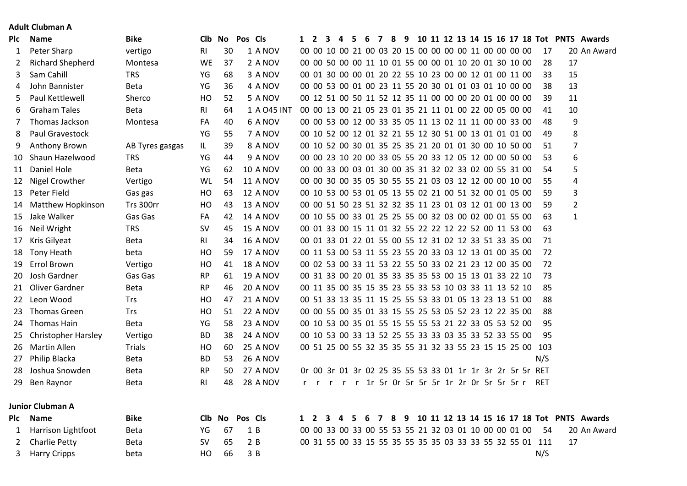## **Adult Clubman A**

| Plc | <b>Name</b>                | <b>Bike</b>     |                | Clb No | Pos Cls         |                                                           |  |    |  |  |  |  |  |                                              |      |                | 1 2 3 4 5 6 7 8 9 10 11 12 13 14 15 16 17 18 Tot PNTS Awards |  |
|-----|----------------------------|-----------------|----------------|--------|-----------------|-----------------------------------------------------------|--|----|--|--|--|--|--|----------------------------------------------|------|----------------|--------------------------------------------------------------|--|
| 1   | Peter Sharp                | vertigo         | RI             | 30     | 1 A NOV         | 00 00 10 00 21 00 03 20 15 00 00 00 00 11 00 00 00 00     |  |    |  |  |  |  |  |                                              | 17   |                | 20 An Award                                                  |  |
| 2   | <b>Richard Shepherd</b>    | Montesa         | WE             | 37     | 2 A NOV         | 00 00 50 00 00 11 10 01 55 00 00 01 10 20 01 30 10 00     |  |    |  |  |  |  |  |                                              | 28   | 17             |                                                              |  |
| 3   | Sam Cahill                 | <b>TRS</b>      | YG             | 68     | 3 A NOV         | 00 01 30 00 00 01 20 22 55 10 23 00 00 12 01 00 11 00     |  |    |  |  |  |  |  |                                              | 33   | 15             |                                                              |  |
| 4   | John Bannister             | <b>Beta</b>     | YG             | 36     | 4 A NOV         | 00 00 53 00 01 00 23 11 55 20 30 01 01 03 01 10 00 00     |  |    |  |  |  |  |  |                                              | 38   | 13             |                                                              |  |
| 5   | Paul Kettlewell            | Sherco          | HO             | 52     | 5 A NOV         | 00 12 51 00 50 11 52 12 35 11 00 00 00 20 01 00 00 00     |  |    |  |  |  |  |  |                                              | 39   | 11             |                                                              |  |
| 6   | <b>Graham Tales</b>        | Beta            | R <sub>l</sub> | 64     | 1 A 045 INT     | 00 00 13 00 21 05 23 01 35 21 11 01 00 22 00 05 00 00     |  |    |  |  |  |  |  |                                              | 41   | 10             |                                                              |  |
| 7   | Thomas Jackson             | Montesa         | FA             | 40     | 6 A NOV         | 00 00 53 00 12 00 33 35 05 11 13 02 11 11 00 00 33 00     |  |    |  |  |  |  |  |                                              | 48   | 9              |                                                              |  |
| 8   | Paul Gravestock            |                 | YG             | 55     | 7 A NOV         | 00 10 52 00 12 01 32 21 55 12 30 51 00 13 01 01 01 00     |  |    |  |  |  |  |  |                                              | 49   | 8              |                                                              |  |
| 9   | Anthony Brown              | AB Tyres gasgas | IL             | 39     | 8 A NOV         | 00 10 52 00 30 01 35 25 35 21 20 01 01 30 00 10 50 00     |  |    |  |  |  |  |  |                                              | 51   | $\overline{7}$ |                                                              |  |
| 10  | Shaun Hazelwood            | <b>TRS</b>      | YG             | 44     | 9 A NOV         | 00 00 23 10 20 00 33 05 55 20 33 12 05 12 00 00 50 00     |  |    |  |  |  |  |  |                                              | 53   | 6              |                                                              |  |
| 11  | Daniel Hole                | Beta            | YG             | 62     | <b>10 A NOV</b> | 00 00 33 00 03 01 30 00 35 31 32 02 33 02 00 55 31 00     |  |    |  |  |  |  |  |                                              | 54   | 5              |                                                              |  |
| 12  | Nigel Crowther             | Vertigo         | <b>WL</b>      | 54     | <b>11 A NOV</b> | 00 00 30 00 35 05 30 55 55 21 03 03 12 12 00 00 10 00     |  |    |  |  |  |  |  |                                              | 55   | 4              |                                                              |  |
| 13  | Peter Field                | Gas gas         | HO             | 63     | <b>12 A NOV</b> | 00 10 53 00 53 01 05 13 55 02 21 00 51 32 00 01 05 00     |  |    |  |  |  |  |  |                                              | 59   | 3              |                                                              |  |
| 14  | <b>Matthew Hopkinson</b>   | Trs 300rr       | HO             | 43     | <b>13 A NOV</b> | 00 00 51 50 23 51 32 32 35 11 23 01 03 12 01 00 13 00     |  |    |  |  |  |  |  |                                              | 59   | $\overline{2}$ |                                                              |  |
| 15  | Jake Walker                | Gas Gas         | FA             | 42     | <b>14 A NOV</b> | 00 10 55 00 33 01 25 25 55 00 32 03 00 02 00 01 55 00     |  |    |  |  |  |  |  |                                              | 63   | $\mathbf{1}$   |                                                              |  |
| 16  | Neil Wright                | <b>TRS</b>      | <b>SV</b>      | 45     | <b>15 A NOV</b> | 00 01 33 00 15 11 01 32 55 22 22 12 22 52 00 11 53 00     |  |    |  |  |  |  |  |                                              | 63   |                |                                                              |  |
| 17  | Kris Gilyeat               | <b>Beta</b>     | R <sub>l</sub> | 34     | <b>16 A NOV</b> | 00 01 33 01 22 01 55 00 55 12 31 02 12 33 51 33 35 00     |  |    |  |  |  |  |  |                                              | 71   |                |                                                              |  |
| 18  | <b>Tony Heath</b>          | beta            | HO             | 59     | <b>17 A NOV</b> | 00 11 53 00 53 11 55 23 55 20 33 03 12 13 01 00 35 00     |  |    |  |  |  |  |  |                                              | 72   |                |                                                              |  |
| 19  | Errol Brown                | Vertigo         | HO             | 41     | <b>18 A NOV</b> | 00 02 53 00 33 11 53 22 55 50 33 02 21 23 12 00 35 00     |  |    |  |  |  |  |  |                                              | 72   |                |                                                              |  |
| 20  | Josh Gardner               | Gas Gas         | RP             | 61     | <b>19 A NOV</b> | 00 31 33 00 20 01 35 33 35 35 53 00 15 13 01 33 22 10     |  |    |  |  |  |  |  |                                              | 73   |                |                                                              |  |
| 21  | Oliver Gardner             | <b>Beta</b>     | <b>RP</b>      | 46     | <b>20 A NOV</b> | 00 11 35 00 35 15 35 23 55 33 53 10 03 33 11 13 52 10     |  |    |  |  |  |  |  |                                              | 85   |                |                                                              |  |
| 22  | Leon Wood                  | Trs             | HO             | 47     | <b>21 A NOV</b> | 00 51 33 13 35 11 15 25 55 53 33 01 05 13 23 13 51 00     |  |    |  |  |  |  |  |                                              | 88   |                |                                                              |  |
| 23  | <b>Thomas Green</b>        | Trs             | HO             | 51     | <b>22 A NOV</b> | 00 00 55 00 35 01 33 15 55 25 53 05 52 23 12 22 35 00     |  |    |  |  |  |  |  |                                              | 88   |                |                                                              |  |
| 24  | Thomas Hain                | Beta            | YG             | 58     | <b>23 A NOV</b> | 00 10 53 00 35 01 55 15 55 55 53 21 22 33 05 53 52 00     |  |    |  |  |  |  |  |                                              | 95   |                |                                                              |  |
| 25  | <b>Christopher Harsley</b> | Vertigo         | <b>BD</b>      | 38     | <b>24 A NOV</b> | 00 10 53 00 33 13 52 25 55 33 33 03 35 33 52 33 55 00     |  |    |  |  |  |  |  |                                              | 95   |                |                                                              |  |
| 26  | Martin Allen               | <b>Trials</b>   | HO             | 60     | <b>25 A NOV</b> | 00 51 25 00 55 32 35 35 55 31 32 33 55 23 15 15 25 00 103 |  |    |  |  |  |  |  |                                              |      |                |                                                              |  |
| 27  | Philip Blacka              | <b>Beta</b>     | <b>BD</b>      | 53     | <b>26 A NOV</b> |                                                           |  |    |  |  |  |  |  |                                              | N/S  |                |                                                              |  |
| 28  | Joshua Snowden             | <b>Beta</b>     | <b>RP</b>      | 50     | 27 A NOV        | Or 00 3r 01 3r 02 25 35 55 53 33 01 1r 1r 3r 2r 5r 5r RET |  |    |  |  |  |  |  |                                              |      |                |                                                              |  |
| 29  | Ben Raynor                 | <b>Beta</b>     | RI             | 48     | <b>28 A NOV</b> |                                                           |  |    |  |  |  |  |  | r r r r r 1r 5r 0r 5r 5r 1r 2r 0r 5r 5r 5r r | RET  |                |                                                              |  |
|     | <b>Junior Clubman A</b>    |                 |                |        |                 |                                                           |  |    |  |  |  |  |  |                                              |      |                |                                                              |  |
| Plc | <b>Name</b>                | <b>Bike</b>     |                |        | Clb No Pos Cls  | 1 2 3 4                                                   |  | 56 |  |  |  |  |  |                                              |      |                | 7 8 9 10 11 12 13 14 15 16 17 18 Tot PNTS Awards             |  |
| 1   | Harrison Lightfoot         | Beta            | YG             | 67     | 1B              | 00 00 33 00 33 00 55 53 55 21 32 03 01 10 00 00 01 00     |  |    |  |  |  |  |  |                                              | - 54 |                | 20 An Award                                                  |  |
| 2   | <b>Charlie Petty</b>       | <b>Beta</b>     | <b>SV</b>      | 65     | 2B              | 00 31 55 00 33 15 55 35 55 35 35 03 33 33 55 32 55 01 111 |  |    |  |  |  |  |  |                                              |      | 17             |                                                              |  |
| 3   | <b>Harry Cripps</b>        | beta            | HO             | 66     | 3 B             |                                                           |  |    |  |  |  |  |  |                                              | N/S  |                |                                                              |  |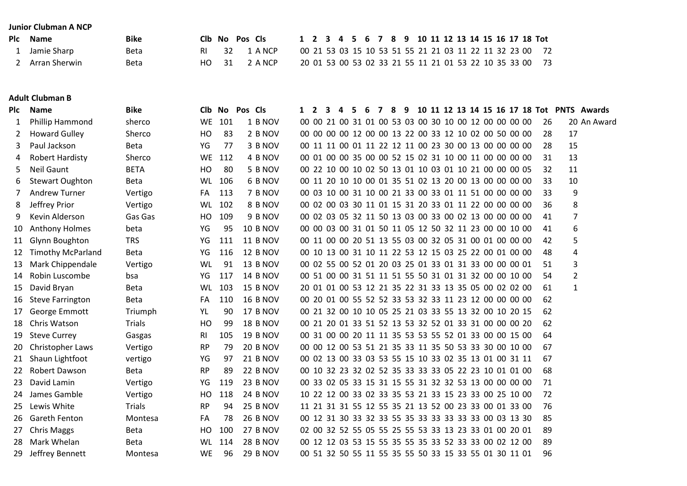#### **Junior Clubman A NCP**

| Plc Name        | <b>Bike</b> | Clb No Pos Cls |              |  |  |  |  |  |  |  |  |  | 1 2 3 4 5 6 7 8 9 10 11 12 13 14 15 16 17 18 Tot         |
|-----------------|-------------|----------------|--------------|--|--|--|--|--|--|--|--|--|----------------------------------------------------------|
| 1 Jamie Sharp   | Beta        |                | RI 32 1 ANCP |  |  |  |  |  |  |  |  |  | 00 21 53 03 15 10 53 51 55 21 21 03 11 22 11 32 23 00 72 |
| 2 Arran Sherwin | Beta        | HO 31          | 2 A NCP      |  |  |  |  |  |  |  |  |  | 20 01 53 00 53 02 33 21 55 11 21 01 53 22 10 35 33 00 73 |

#### **Adult Clubman B**

| Plc | <b>Name</b>              | <b>Bike</b> | <b>CIb</b>     | No  | Pos Cls |                 | $\mathbf{1}$ | $\overline{2}$ | $\mathbf{3}$ | $\overline{\mathbf{4}}$ | - 5 | - 6 | $\overline{7}$ | 8 | 9 |  |  |  |                                                       |    |                | 10 11 12 13 14 15 16 17 18 Tot PNTS Awards |
|-----|--------------------------|-------------|----------------|-----|---------|-----------------|--------------|----------------|--------------|-------------------------|-----|-----|----------------|---|---|--|--|--|-------------------------------------------------------|----|----------------|--------------------------------------------|
| 1   | Phillip Hammond          | sherco      | WE             | 101 |         | 1 B NOV         |              |                |              |                         |     |     |                |   |   |  |  |  | 00 00 21 00 31 01 00 53 03 00 30 10 00 12 00 00 00 00 | 26 |                | 20 An Award                                |
| 2   | <b>Howard Gulley</b>     | Sherco      | HO             | 83  |         | 2 B NOV         |              |                |              |                         |     |     |                |   |   |  |  |  | 00 00 00 00 12 00 00 13 22 00 33 12 10 02 00 50 00 00 | 28 | 17             |                                            |
| 3   | Paul Jackson             | <b>Beta</b> | YG             | 77  |         | 3 B NOV         |              |                |              |                         |     |     |                |   |   |  |  |  | 00 11 11 00 01 11 22 12 11 00 23 30 00 13 00 00 00 00 | 28 | 15             |                                            |
| 4   | Robert Hardisty          | Sherco      | WE             | 112 |         | 4 B NOV         |              |                |              |                         |     |     |                |   |   |  |  |  | 00 01 00 00 35 00 00 52 15 02 31 10 00 11 00 00 00 00 | 31 | 13             |                                            |
| 5.  | Neil Gaunt               | <b>BETA</b> | HO             | 80  |         | 5 B NOV         |              |                |              |                         |     |     |                |   |   |  |  |  | 00 22 10 00 10 02 50 13 01 10 03 01 10 21 00 00 00 05 | 32 | 11             |                                            |
| 6   | <b>Stewart Oughton</b>   | Beta        | WL             | 106 |         | 6 B NOV         |              |                |              |                         |     |     |                |   |   |  |  |  | 00 11 20 10 10 00 01 35 51 02 13 20 00 13 00 00 00 00 | 33 | 10             |                                            |
|     | <b>Andrew Turner</b>     | Vertigo     | FA             | 113 |         | 7 B NOV         |              |                |              |                         |     |     |                |   |   |  |  |  | 00 03 10 00 31 10 00 21 33 00 33 01 11 51 00 00 00 00 | 33 | 9              |                                            |
| 8   | Jeffrey Prior            | Vertigo     | WL             | 102 |         | 8 B NOV         |              |                |              |                         |     |     |                |   |   |  |  |  | 00 02 00 03 30 11 01 15 31 20 33 01 11 22 00 00 00 00 | 36 | 8              |                                            |
| 9   | Kevin Alderson           | Gas Gas     | HO.            | 109 |         | 9 B NOV         |              |                |              |                         |     |     |                |   |   |  |  |  | 00 02 03 05 32 11 50 13 03 00 33 00 02 13 00 00 00 00 | 41 | $\overline{7}$ |                                            |
| 10  | <b>Anthony Holmes</b>    | beta        | YG             | 95  |         | <b>10 B NOV</b> |              |                |              |                         |     |     |                |   |   |  |  |  | 00 00 03 00 31 01 50 11 05 12 50 32 11 23 00 00 10 00 | 41 | 6              |                                            |
| 11  | Glynn Boughton           | <b>TRS</b>  | YG             | 111 |         | <b>11 B NOV</b> |              |                |              |                         |     |     |                |   |   |  |  |  | 00 11 00 00 20 51 13 55 03 00 32 05 31 00 01 00 00 00 | 42 | 5              |                                            |
| 12  | <b>Timothy McParland</b> | Beta        | YG             | 116 |         | <b>12 B NOV</b> |              |                |              |                         |     |     |                |   |   |  |  |  | 00 10 13 00 31 10 11 22 53 12 15 03 25 22 00 01 00 00 | 48 | 4              |                                            |
| 13  | Mark Chippendale         | Vertigo     | WL             | 91  |         | <b>13 B NOV</b> |              |                |              |                         |     |     |                |   |   |  |  |  | 00 02 55 00 52 01 20 03 25 01 33 01 31 33 00 00 00 01 | 51 | 3              |                                            |
| 14  | Robin Luscombe           | bsa         | YG             | 117 |         | <b>14 B NOV</b> |              |                |              |                         |     |     |                |   |   |  |  |  | 00 51 00 00 31 51 11 51 55 50 31 01 31 32 00 00 10 00 | 54 | $\overline{2}$ |                                            |
| 15  | David Bryan              | <b>Beta</b> | WL             | 103 |         | <b>15 B NOV</b> |              |                |              |                         |     |     |                |   |   |  |  |  | 20 01 01 00 53 12 21 35 22 31 33 13 35 05 00 02 02 00 | 61 | $\mathbf{1}$   |                                            |
| 16  | <b>Steve Farrington</b>  | <b>Beta</b> | FA             | 110 |         | <b>16 B NOV</b> |              |                |              |                         |     |     |                |   |   |  |  |  | 00 20 01 00 55 52 52 33 53 32 33 11 23 12 00 00 00 00 | 62 |                |                                            |
| 17  | George Emmott            | Triumph     | YL             | 90  |         | <b>17 B NOV</b> |              |                |              |                         |     |     |                |   |   |  |  |  | 00 21 32 00 10 10 05 25 21 03 33 55 13 32 00 10 20 15 | 62 |                |                                            |
| 18  | Chris Watson             | Trials      | HO             | 99  |         | <b>18 B NOV</b> |              |                |              |                         |     |     |                |   |   |  |  |  | 00 21 20 01 33 51 52 13 53 32 52 01 33 31 00 00 00 20 | 62 |                |                                            |
| 19  | <b>Steve Currey</b>      | Gasgas      | R <sub>l</sub> | 105 |         | <b>19 B NOV</b> |              |                |              |                         |     |     |                |   |   |  |  |  | 00 31 00 00 20 11 11 35 53 53 55 52 01 33 00 00 15 00 | 64 |                |                                            |
| 20  | Christopher Laws         | Vertigo     | <b>RP</b>      | 79  |         | <b>20 B NOV</b> |              |                |              |                         |     |     |                |   |   |  |  |  | 00 00 12 00 53 51 21 35 33 11 35 50 53 33 30 00 10 00 | 67 |                |                                            |
| 21  | Shaun Lightfoot          | vertigo     | YG             | 97  |         | <b>21 B NOV</b> |              |                |              |                         |     |     |                |   |   |  |  |  | 00 02 13 00 33 03 53 55 15 10 33 02 35 13 01 00 31 11 | 67 |                |                                            |
| 22  | Robert Dawson            | <b>Beta</b> | <b>RP</b>      | 89  |         | <b>22 B NOV</b> |              |                |              |                         |     |     |                |   |   |  |  |  | 00 10 32 23 32 02 52 35 33 33 33 05 22 23 10 01 01 00 | 68 |                |                                            |
| 23  | David Lamin              | Vertigo     | YG             | 119 |         | <b>23 B NOV</b> |              |                |              |                         |     |     |                |   |   |  |  |  | 00 33 02 05 33 15 31 15 55 31 32 32 53 13 00 00 00 00 | 71 |                |                                            |
| 24  | James Gamble             | Vertigo     | HO             | 118 |         | <b>24 B NOV</b> |              |                |              |                         |     |     |                |   |   |  |  |  | 10 22 12 00 33 02 33 35 53 21 33 15 23 33 00 25 10 00 | 72 |                |                                            |
| 25  | Lewis White              | Trials      | <b>RP</b>      | 94  |         | <b>25 B NOV</b> |              |                |              |                         |     |     |                |   |   |  |  |  | 11 21 31 31 55 12 55 35 21 13 52 00 23 33 00 01 33 00 | 76 |                |                                            |
| 26  | Gareth Fenton            | Montesa     | FA             | 78  |         | <b>26 B NOV</b> |              |                |              |                         |     |     |                |   |   |  |  |  | 00 12 31 30 33 32 33 55 35 33 33 33 33 33 00 03 13 30 | 85 |                |                                            |
| 27  | <b>Chris Maggs</b>       | Beta        | HO             | 100 |         | <b>27 B NOV</b> |              |                |              |                         |     |     |                |   |   |  |  |  | 02 00 32 52 55 05 55 25 55 53 33 13 23 33 01 00 20 01 | 89 |                |                                            |
| 28  | Mark Whelan              | Beta        | WL             | 114 |         | <b>28 B NOV</b> |              |                |              |                         |     |     |                |   |   |  |  |  | 00 12 12 03 53 15 55 35 55 35 33 52 33 33 00 02 12 00 | 89 |                |                                            |
| 29  | Jeffrey Bennett          | Montesa     | WE             | 96  |         | <b>29 B NOV</b> |              |                |              |                         |     |     |                |   |   |  |  |  | 00 51 32 50 55 11 55 35 55 50 33 15 33 55 01 30 11 01 | 96 |                |                                            |
|     |                          |             |                |     |         |                 |              |                |              |                         |     |     |                |   |   |  |  |  |                                                       |    |                |                                            |